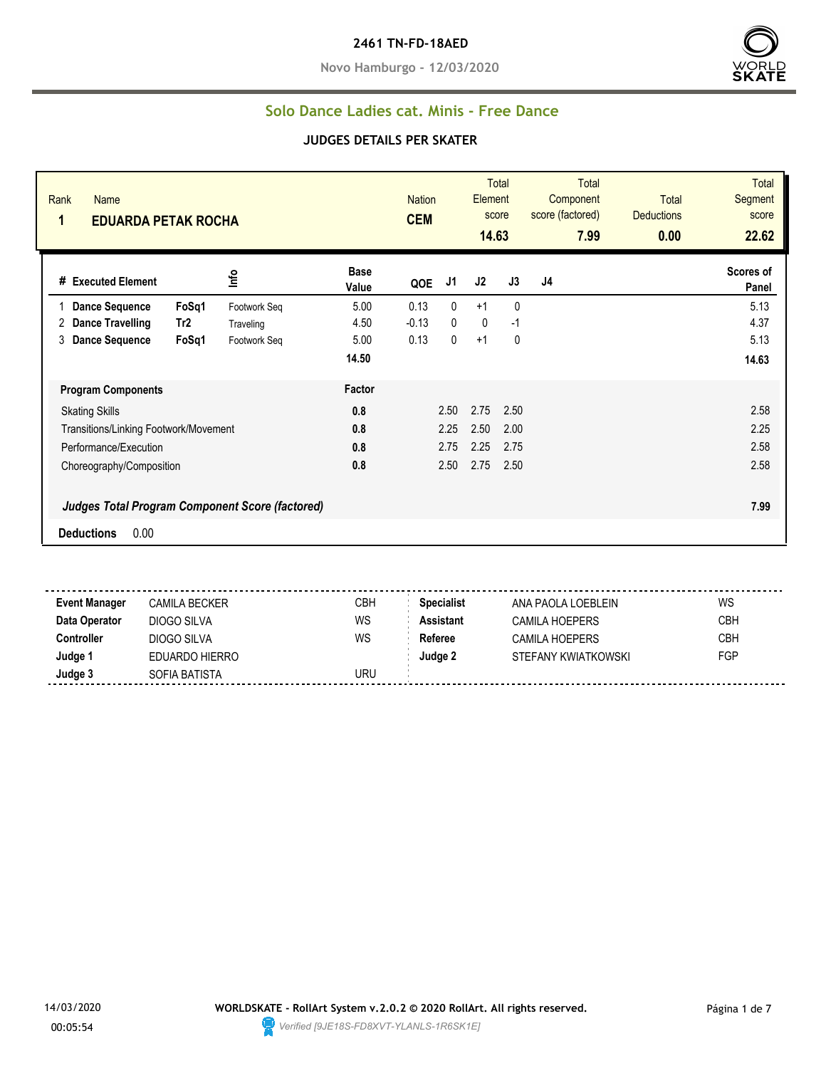**Novo Hamburgo - 12/03/2020**



#### **Solo Dance Ladies cat. Minis - Free Dance**

#### **JUDGES DETAILS PER SKATER**

| Rank<br><b>Name</b><br>1                               | <b>EDUARDA PETAK ROCHA</b> |                      |         |      | <b>Total</b><br><b>Nation</b><br>Element<br>score<br><b>CEM</b><br>14.63 |              | <b>Total</b><br>Component<br>score (factored)<br>7.99 | <b>Total</b><br><b>Deductions</b><br>0.00 | <b>Total</b><br>Segment<br>score<br>22.62 |
|--------------------------------------------------------|----------------------------|----------------------|---------|------|--------------------------------------------------------------------------|--------------|-------------------------------------------------------|-------------------------------------------|-------------------------------------------|
| # Executed Element                                     | ١πć                        | <b>Base</b><br>Value | QOE     | J1   | J2                                                                       | J3           | J4                                                    |                                           | Scores of<br>Panel                        |
| <b>Dance Sequence</b><br>FoSq1                         | Footwork Seq               | 5.00                 | 0.13    | 0    | $+1$                                                                     | $\mathbf{0}$ |                                                       |                                           | 5.13                                      |
| Tr <sub>2</sub><br>Dance Travelling<br>2               | Traveling                  | 4.50                 | $-0.13$ | 0    | $\mathbf 0$                                                              | -1           |                                                       |                                           | 4.37                                      |
| 3<br><b>Dance Sequence</b><br>FoSq1                    | Footwork Seq               | 5.00                 | 0.13    | 0    | $+1$                                                                     | 0            |                                                       |                                           | 5.13                                      |
|                                                        |                            | 14.50                |         |      |                                                                          |              |                                                       |                                           | 14.63                                     |
| <b>Program Components</b>                              |                            | Factor               |         |      |                                                                          |              |                                                       |                                           |                                           |
| <b>Skating Skills</b>                                  |                            | 0.8                  |         | 2.50 | 2.75                                                                     | 2.50         |                                                       |                                           | 2.58                                      |
| Transitions/Linking Footwork/Movement                  |                            | 0.8                  |         | 2.25 | 2.50                                                                     | 2.00         |                                                       |                                           | 2.25                                      |
| Performance/Execution                                  |                            | 0.8                  |         | 2.75 | 2.25                                                                     | 2.75         |                                                       |                                           | 2.58                                      |
| Choreography/Composition                               |                            | 0.8                  |         | 2.50 | 2.75                                                                     | 2.50         |                                                       |                                           | 2.58                                      |
| <b>Judges Total Program Component Score (factored)</b> |                            |                      |         |      |                                                                          |              |                                                       | 7.99                                      |                                           |
| 0.00<br><b>Deductions</b>                              |                            |                      |         |      |                                                                          |              |                                                       |                                           |                                           |

**Event Manager** CAMILA BECKER CREA CBH **Specialist** ANA PAOLA LOEBLEIN WS **Data Operator** DIOGO SILVA WS **Assistant** CAMILA HOEPERS CBH **Controller** DIOGO SILVA WS Referee CAMILA HOEPERS CBH **Judge 1** EDUARDO HIERRO **Judge 2** STEFANY KWIATKOWSKI FGP **Judge 3** SOFIA BATISTA SOFIA BATISTA

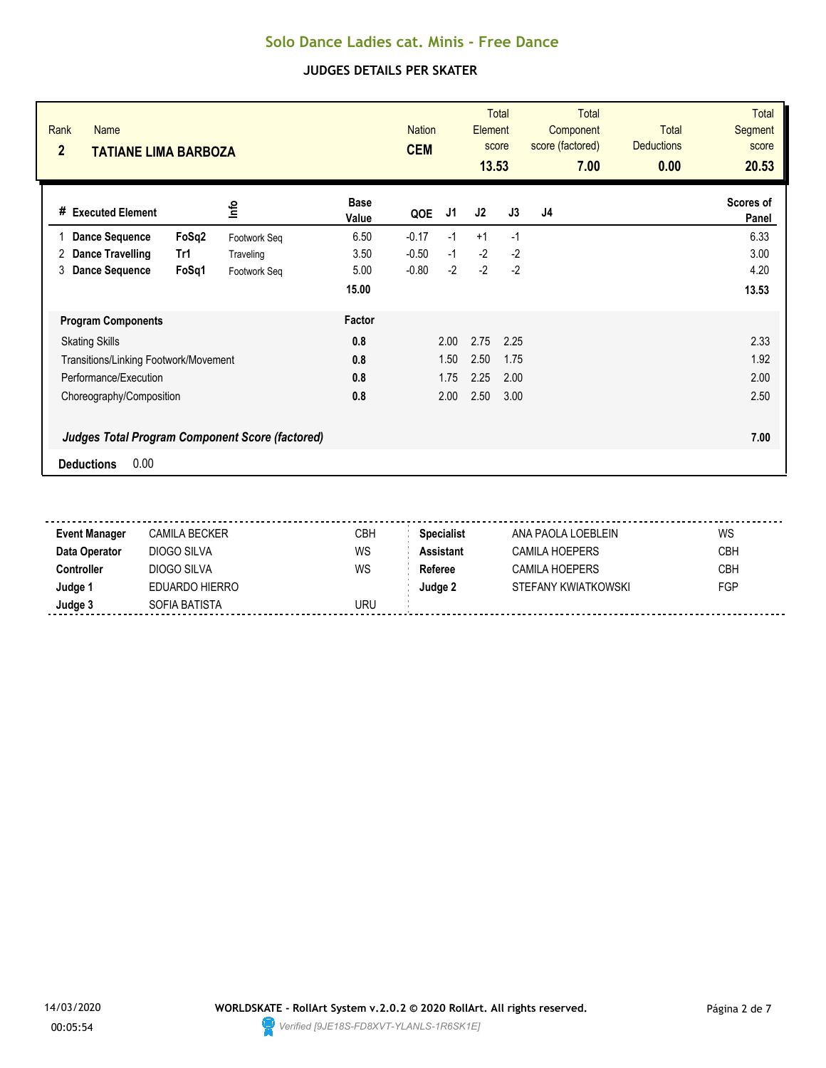| Rank<br><b>Name</b><br>$\overline{2}$<br>TATIANE LIMA BARBOZA |              | <b>CEM</b>           | <b>Total</b><br><b>Nation</b><br>Element<br>score<br>13.53 |      |      | <b>Total</b><br>Component<br>score (factored)<br>7.00 | <b>Total</b><br><b>Deductions</b><br>0.00 | <b>Total</b><br>Segment<br>score<br>20.53 |                    |
|---------------------------------------------------------------|--------------|----------------------|------------------------------------------------------------|------|------|-------------------------------------------------------|-------------------------------------------|-------------------------------------------|--------------------|
| # Executed Element                                            | lnfo         | <b>Base</b><br>Value | QOE                                                        | J1   | J2   | J3                                                    | J4                                        |                                           | Scores of<br>Panel |
| FoSq2<br><b>Dance Sequence</b>                                | Footwork Seq | 6.50                 | $-0.17$                                                    | $-1$ | $+1$ | $-1$                                                  |                                           |                                           | 6.33               |
| <b>Dance Travelling</b><br>2<br>Tr1                           | Traveling    | 3.50                 | $-0.50$                                                    | $-1$ | $-2$ | $-2$                                                  |                                           |                                           | 3.00               |
| <b>Dance Sequence</b><br>FoSq1<br>3                           | Footwork Seq | 5.00                 | $-0.80$                                                    | $-2$ | $-2$ | $-2$                                                  |                                           |                                           | 4.20               |
|                                                               |              | 15.00                |                                                            |      |      |                                                       |                                           |                                           | 13.53              |
| <b>Program Components</b>                                     |              | Factor               |                                                            |      |      |                                                       |                                           |                                           |                    |
| <b>Skating Skills</b>                                         |              | 0.8                  |                                                            | 2.00 | 2.75 | 2.25                                                  |                                           |                                           | 2.33               |
| Transitions/Linking Footwork/Movement                         |              | 0.8                  |                                                            | 1.50 | 2.50 | 1.75                                                  |                                           |                                           | 1.92               |
| Performance/Execution                                         |              | 0.8                  |                                                            | 1.75 | 2.25 | 2.00                                                  |                                           |                                           | 2.00               |
| Choreography/Composition                                      |              | 0.8                  |                                                            | 2.00 | 2.50 | 3.00                                                  |                                           |                                           | 2.50               |
| <b>Judges Total Program Component Score (factored)</b>        |              |                      |                                                            |      |      |                                                       |                                           |                                           | 7.00               |
| 0.00<br><b>Deductions</b>                                     |              |                      |                                                            |      |      |                                                       |                                           |                                           |                    |

| <b>Event Manager</b> | CAMILA BECKER  | CBH | <b>Specialist</b> | ANA PAOLA LOEBLEIN  | WS         |
|----------------------|----------------|-----|-------------------|---------------------|------------|
| Data Operator        | DIOGO SILVA    | WS  | <b>Assistant</b>  | CAMILA HOEPERS      | <b>CBH</b> |
| Controller           | DIOGO SILVA    | WS  | Referee           | CAMILA HOEPERS      | <b>CBH</b> |
| Judge 1              | EDUARDO HIERRO |     | Judge 2           | STEFANY KWIATKOWSKI | FGP        |
| Judge 3              | SOFIA BATISTA  | URU |                   |                     |            |
|                      |                |     |                   |                     |            |

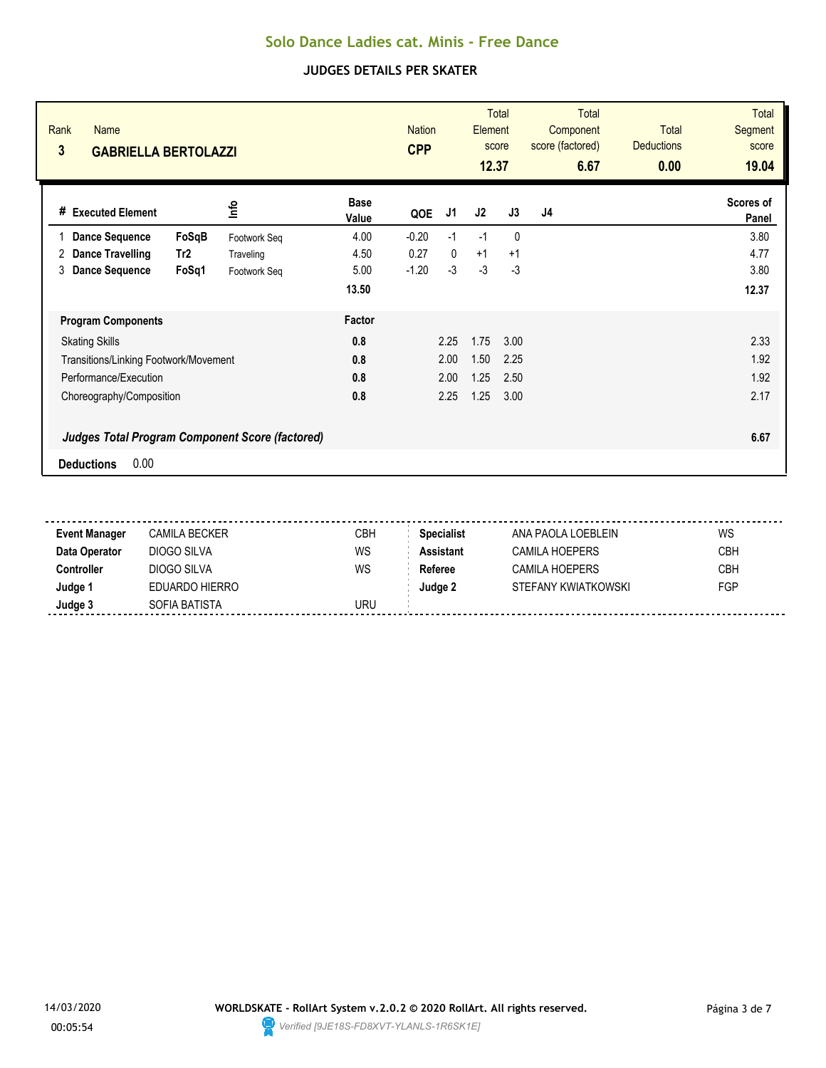| Rank<br><b>Name</b><br>3                               | <b>GABRIELLA BERTOLAZZI</b> |                      |         |              |      | <b>Total</b><br>Element<br>score<br>12.37 | <b>Total</b><br>Component<br>score (factored)<br>6.67 | <b>Total</b><br><b>Deductions</b><br>0.00 | <b>Total</b><br><b>Segment</b><br>score<br>19.04 |
|--------------------------------------------------------|-----------------------------|----------------------|---------|--------------|------|-------------------------------------------|-------------------------------------------------------|-------------------------------------------|--------------------------------------------------|
| # Executed Element                                     | lnfo                        | <b>Base</b><br>Value | QOE     | J1           | J2   | J3                                        | J4                                                    |                                           | Scores of<br>Panel                               |
| <b>Dance Sequence</b><br>FoSqB                         | Footwork Seq                | 4.00                 | $-0.20$ | $-1$         | $-1$ | $\mathbf{0}$                              |                                                       |                                           | 3.80                                             |
| <b>Dance Travelling</b><br>2<br>Tr <sub>2</sub>        | Traveling                   | 4.50                 | 0.27    | $\mathbf{0}$ | $+1$ | $+1$                                      |                                                       |                                           | 4.77                                             |
| <b>Dance Sequence</b><br>FoSq1<br>3                    | Footwork Seg                | 5.00                 | $-1.20$ | $-3$         | $-3$ | -3                                        |                                                       |                                           | 3.80                                             |
|                                                        |                             | 13.50                |         |              |      |                                           |                                                       |                                           | 12.37                                            |
| <b>Program Components</b>                              |                             | Factor               |         |              |      |                                           |                                                       |                                           |                                                  |
| <b>Skating Skills</b>                                  |                             | 0.8                  |         | 2.25         | 1.75 | 3.00                                      |                                                       |                                           | 2.33                                             |
| Transitions/Linking Footwork/Movement                  |                             | 0.8                  |         | 2.00         | 1.50 | 2.25                                      |                                                       |                                           | 1.92                                             |
| Performance/Execution                                  |                             | 0.8                  |         | 2.00         | 1.25 | 2.50                                      |                                                       |                                           | 1.92                                             |
| Choreography/Composition                               |                             | 0.8                  |         | 2.25         | 1.25 | 3.00                                      |                                                       |                                           | 2.17                                             |
| <b>Judges Total Program Component Score (factored)</b> |                             |                      |         |              |      |                                           |                                                       |                                           | 6.67                                             |
| 0.00<br><b>Deductions</b>                              |                             |                      |         |              |      |                                           |                                                       |                                           |                                                  |

| <b>Event Manager</b> | CAMILA BECKER  | <b>CBH</b> | <b>Specialist</b> | ANA PAOLA LOEBLFIN    | WS         |
|----------------------|----------------|------------|-------------------|-----------------------|------------|
| Data Operator        | DIOGO SILVA    | WS         | <b>Assistant</b>  | <b>CAMILA HOEPERS</b> | <b>CBH</b> |
| Controller:          | DIOGO SILVA    | WS         | Referee           | <b>CAMILA HOEPERS</b> | <b>CBH</b> |
| Judge 1              | EDUARDO HIERRO |            | Judge 2           | STEFANY KWIATKOWSKI   | FGP        |
| Judge 3              | SOFIA BATISTA  | uru        |                   |                       |            |
|                      |                |            |                   |                       |            |

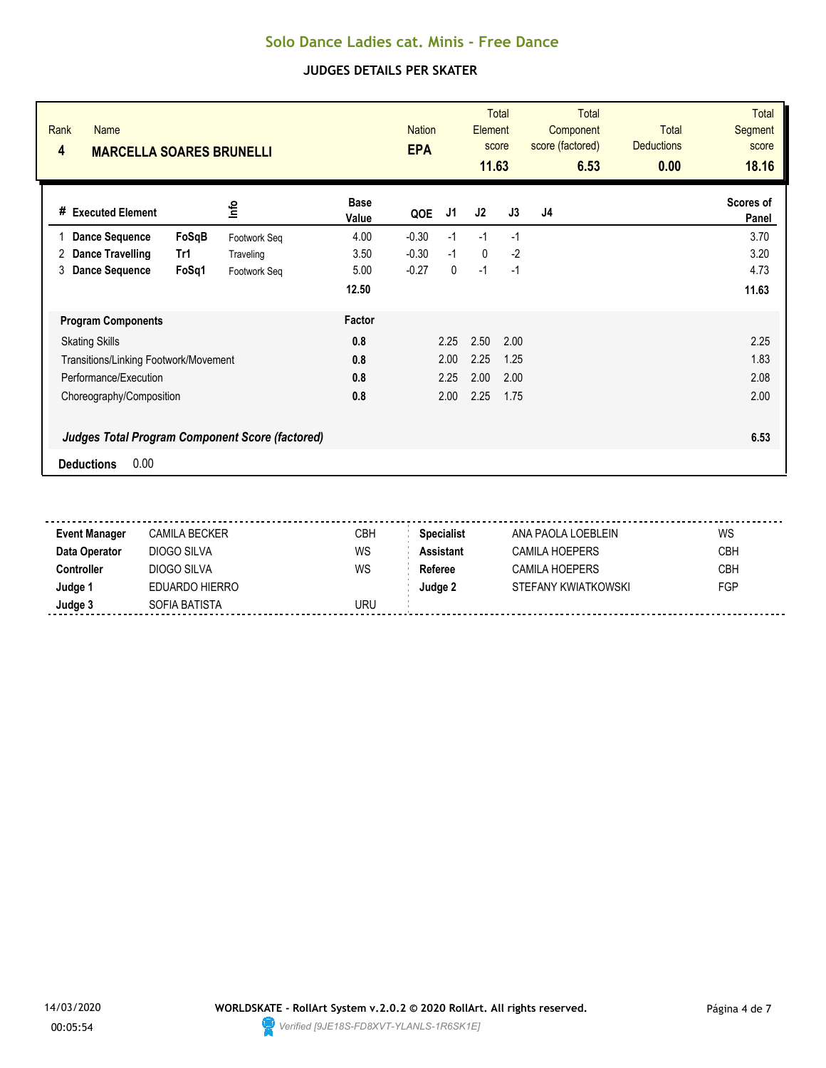| Rank<br><b>Name</b><br>4              | <b>MARCELLA SOARES BRUNELLI</b>                        |                      |         |      |              | <b>Total</b><br>Element<br>score<br>11.63 | <b>Total</b><br>Component<br>score (factored)<br>6.53 | <b>Total</b><br><b>Deductions</b><br>0.00 | <b>Total</b><br>Segment<br>score<br>18.16 |
|---------------------------------------|--------------------------------------------------------|----------------------|---------|------|--------------|-------------------------------------------|-------------------------------------------------------|-------------------------------------------|-------------------------------------------|
| <b>Executed Element</b><br>#          | lnfo                                                   | <b>Base</b><br>Value | QOE     | J1   | J2           | J3                                        | J4                                                    |                                           | Scores of<br>Panel                        |
| <b>Dance Sequence</b>                 | FoSqB<br>Footwork Seq                                  | 4.00                 | $-0.30$ | $-1$ | $-1$         | $-1$                                      |                                                       |                                           | 3.70                                      |
| <b>Dance Travelling</b><br>2          | Tr1<br>Traveling                                       | 3.50                 | $-0.30$ | $-1$ | $\mathbf{0}$ | $-2$                                      |                                                       |                                           | 3.20                                      |
| <b>Dance Sequence</b><br>3            | FoSq1<br>Footwork Seq                                  | 5.00                 | $-0.27$ | 0    | $-1$         | $-1$                                      |                                                       |                                           | 4.73                                      |
|                                       |                                                        | 12.50                |         |      |              |                                           |                                                       |                                           | 11.63                                     |
| <b>Program Components</b>             |                                                        | <b>Factor</b>        |         |      |              |                                           |                                                       |                                           |                                           |
| <b>Skating Skills</b>                 |                                                        | 0.8                  |         | 2.25 | 2.50         | 2.00                                      |                                                       |                                           | 2.25                                      |
| Transitions/Linking Footwork/Movement |                                                        | 0.8                  |         | 2.00 | 2.25         | 1.25                                      |                                                       |                                           | 1.83                                      |
| Performance/Execution                 |                                                        | 0.8                  |         | 2.25 | 2.00         | 2.00                                      |                                                       |                                           | 2.08                                      |
| Choreography/Composition              |                                                        | 0.8                  |         | 2.00 | 2.25         | 1.75                                      |                                                       |                                           | 2.00                                      |
|                                       | <b>Judges Total Program Component Score (factored)</b> |                      |         |      |              |                                           |                                                       |                                           | 6.53                                      |
| 0.00<br><b>Deductions</b>             |                                                        |                      |         |      |              |                                           |                                                       |                                           |                                           |

| <b>Event Manager</b> | CAMILA BECKER  | CBH | <b>Specialist</b> | ANA PAOLA LOEBLEIN  | WS         |
|----------------------|----------------|-----|-------------------|---------------------|------------|
| Data Operator        | DIOGO SILVA    | WS  | <b>Assistant</b>  | CAMILA HOEPERS      | <b>CBH</b> |
| Controller           | DIOGO SILVA    | WS  | Referee           | CAMILA HOEPERS      | <b>CBH</b> |
| Judge 1              | EDUARDO HIERRO |     | Judge 2           | STEFANY KWIATKOWSKI | FGP        |
| Judge 3              | SOFIA BATISTA  | URU |                   |                     |            |
|                      |                |     |                   |                     |            |

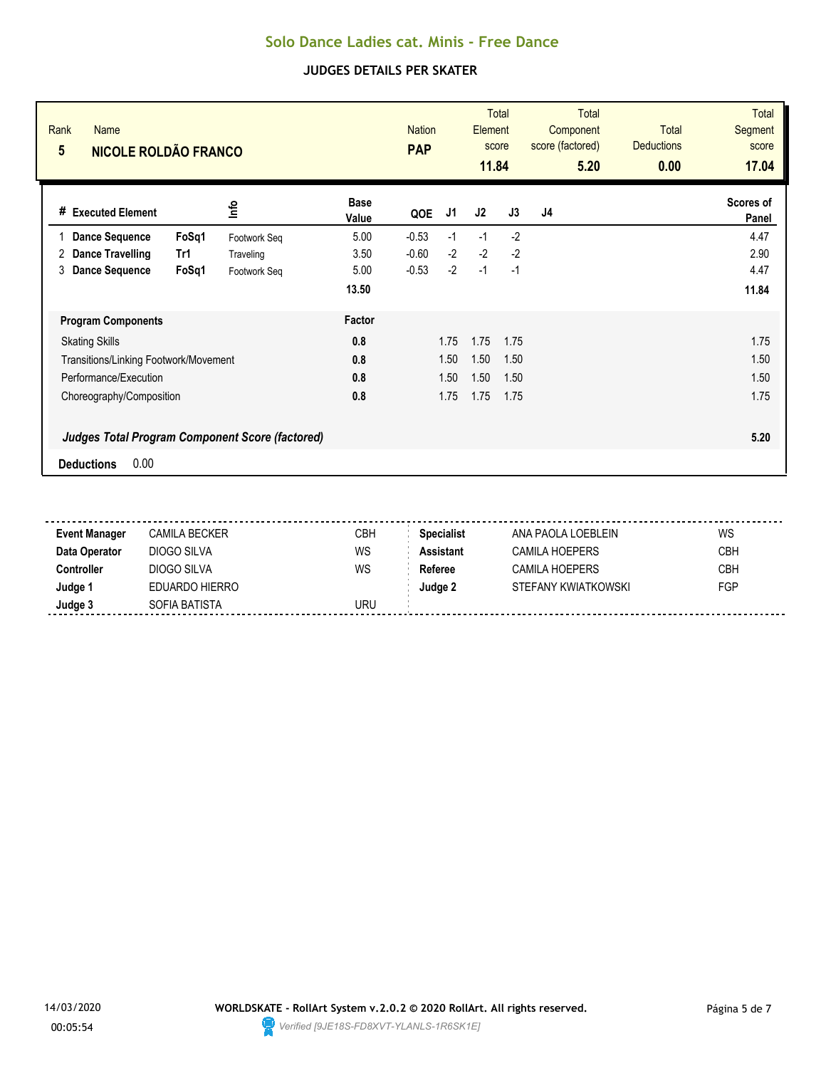| Rank<br><b>Name</b><br>$5\phantom{.0}$ | <b>NICOLE ROLDÃO FRANCO</b>                            |                      |         |      | <b>Total</b><br><b>Nation</b><br>Element<br>score<br><b>PAP</b><br>11.84 |      | <b>Total</b><br>Component<br>score (factored)<br>5.20 | <b>Total</b><br><b>Deductions</b><br>0.00 | <b>Total</b><br><b>Segment</b><br>score<br>17.04 |
|----------------------------------------|--------------------------------------------------------|----------------------|---------|------|--------------------------------------------------------------------------|------|-------------------------------------------------------|-------------------------------------------|--------------------------------------------------|
| # Executed Element                     | lnfo                                                   | <b>Base</b><br>Value | QOE     | J1   | J2                                                                       | J3   | J <sub>4</sub>                                        |                                           | Scores of<br>Panel                               |
| <b>Dance Sequence</b>                  | FoSq1<br>Footwork Seq                                  | 5.00                 | $-0.53$ | $-1$ | $-1$                                                                     | $-2$ |                                                       |                                           | 4.47                                             |
| Dance Travelling<br>Tr1<br>2           | Traveling                                              | 3.50                 | $-0.60$ | $-2$ | $-2$                                                                     | $-2$ |                                                       |                                           | 2.90                                             |
| <b>Dance Sequence</b><br>3             | FoSq1<br>Footwork Seq                                  | 5.00                 | $-0.53$ | $-2$ | $-1$                                                                     | $-1$ |                                                       |                                           | 4.47                                             |
|                                        |                                                        | 13.50                |         |      |                                                                          |      |                                                       |                                           | 11.84                                            |
| <b>Program Components</b>              |                                                        | Factor               |         |      |                                                                          |      |                                                       |                                           |                                                  |
| <b>Skating Skills</b>                  |                                                        | 0.8                  |         | 1.75 | 1.75                                                                     | 1.75 |                                                       |                                           | 1.75                                             |
| Transitions/Linking Footwork/Movement  |                                                        | 0.8                  |         | 1.50 | 1.50                                                                     | 1.50 |                                                       |                                           | 1.50                                             |
| Performance/Execution                  |                                                        | 0.8                  |         | 1.50 | 1.50                                                                     | 1.50 |                                                       |                                           | 1.50                                             |
| Choreography/Composition               |                                                        | 0.8                  |         | 1.75 | 1.75                                                                     | 1.75 |                                                       |                                           | 1.75                                             |
|                                        | <b>Judges Total Program Component Score (factored)</b> |                      |         |      |                                                                          |      |                                                       |                                           | 5.20                                             |
| 0.00<br><b>Deductions</b>              |                                                        |                      |         |      |                                                                          |      |                                                       |                                           |                                                  |

| <b>Event Manager</b> | CAMILA BECKER  | CBH | <b>Specialist</b> | ANA PAOLA LOEBLEIN    | WS         |
|----------------------|----------------|-----|-------------------|-----------------------|------------|
| Data Operator        | DIOGO SILVA    | WS  | <b>Assistant</b>  | CAMILA HOEPERS        | <b>CBH</b> |
| Controller           | DIOGO SILVA    | WS  | Referee           | <b>CAMILA HOEPERS</b> | <b>CBH</b> |
| Judge 1              | EDUARDO HIERRO |     | Judge 2           | STEFANY KWIATKOWSKI   | <b>FGP</b> |
| Judge 3              | SOFIA BATISTA  | URU |                   |                       |            |
|                      |                |     |                   |                       |            |

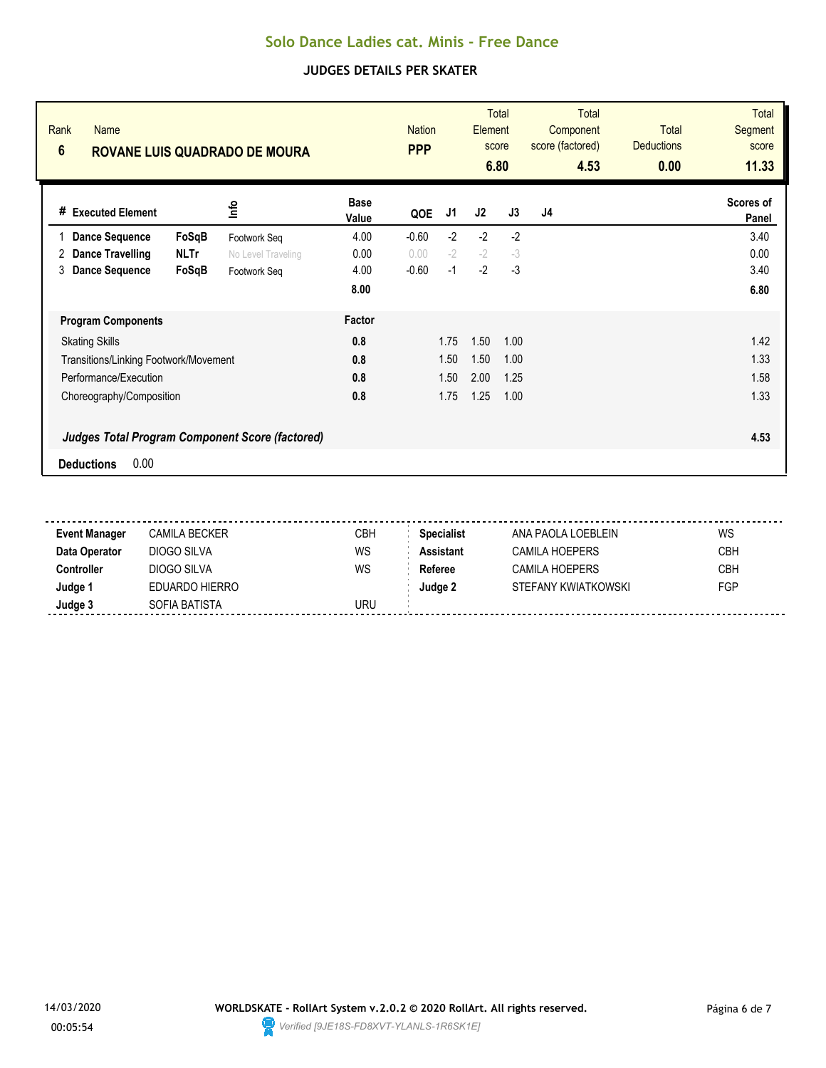| Rank<br><b>Name</b><br>$6\phantom{1}$                  | <b>ROVANE LUIS QUADRADO DE MOURA</b> |                    |                      |         | <b>Nation</b> | Element | <b>Total</b><br>score<br>6.80 | <b>Total</b><br>Component<br>score (factored)<br>4.53 | <b>Total</b><br><b>Deductions</b><br>0.00 | <b>Total</b><br>Segment<br>score<br>11.33 |
|--------------------------------------------------------|--------------------------------------|--------------------|----------------------|---------|---------------|---------|-------------------------------|-------------------------------------------------------|-------------------------------------------|-------------------------------------------|
| # Executed Element                                     |                                      | ۴ů                 | <b>Base</b><br>Value | QOE     | J1            | J2      | J3                            | J4                                                    |                                           | Scores of<br>Panel                        |
| <b>Dance Sequence</b>                                  | FoSqB                                | Footwork Seq       | 4.00                 | $-0.60$ | $-2$          | $-2$    | $-2$                          |                                                       |                                           | 3.40                                      |
| Dance Travelling<br>2.                                 | <b>NLTr</b>                          | No Level Traveling | 0.00                 | 0.00    | $-2$          | $-2$    | $-3$                          |                                                       |                                           | 0.00                                      |
| <b>Dance Sequence</b><br>3                             | FoSqB                                | Footwork Seq       | 4.00                 | $-0.60$ | $-1$          | $-2$    | $-3$                          |                                                       |                                           | 3.40                                      |
|                                                        |                                      |                    | 8.00                 |         |               |         |                               |                                                       |                                           | 6.80                                      |
| <b>Program Components</b>                              |                                      |                    | Factor               |         |               |         |                               |                                                       |                                           |                                           |
| <b>Skating Skills</b>                                  |                                      |                    | 0.8                  |         | 1.75          | 1.50    | 1.00                          |                                                       |                                           | 1.42                                      |
| Transitions/Linking Footwork/Movement                  |                                      |                    | 0.8                  |         | 1.50          | 1.50    | 1.00                          |                                                       |                                           | 1.33                                      |
| Performance/Execution                                  |                                      |                    | 0.8                  |         | 1.50          | 2.00    | 1.25                          |                                                       |                                           | 1.58                                      |
| Choreography/Composition                               |                                      |                    | 0.8                  |         | 1.75          | 1.25    | 1.00                          |                                                       |                                           | 1.33                                      |
| <b>Judges Total Program Component Score (factored)</b> |                                      |                    |                      |         |               |         |                               |                                                       |                                           | 4.53                                      |
| 0.00<br><b>Deductions</b>                              |                                      |                    |                      |         |               |         |                               |                                                       |                                           |                                           |

| Event Manager | CAMILA BECKER  | CBH | <b>Specialist</b> | ANA PAOLA LOEBLFIN  | WS         |
|---------------|----------------|-----|-------------------|---------------------|------------|
| Data Operator | DIOGO SILVA    | WS  | <b>Assistant</b>  | CAMILA HOFPFRS      | <b>CBH</b> |
| Controller    | DIOGO SILVA    | WS  | Referee           | CAMILA HOFPERS      | <b>CBH</b> |
| Judge 1       | EDUARDO HIERRO |     | Judge 2           | STEFANY KWIATKOWSKI | FGP        |
| Judge 3       | SOFIA BATISTA  | URU |                   |                     |            |
|               |                |     |                   |                     |            |